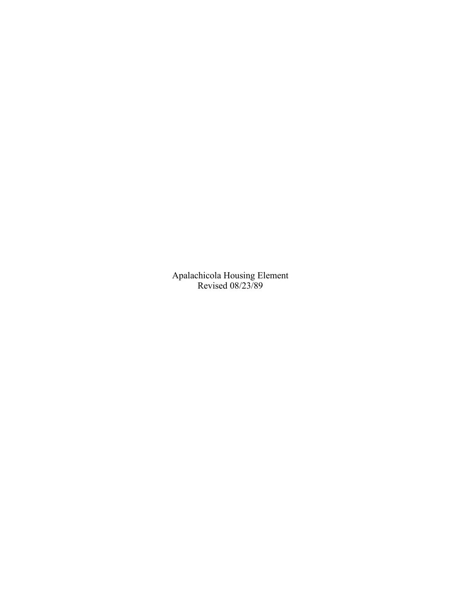Apalachicola Housing Element Revised 08/23/89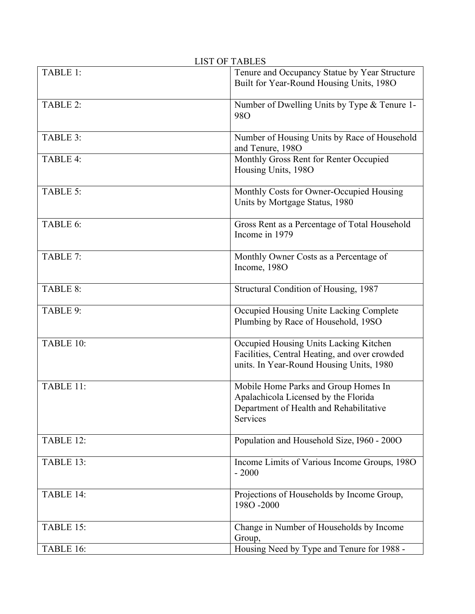| <b>LIST OF TABLES</b> |                                                                                                                                     |  |  |  |  |  |
|-----------------------|-------------------------------------------------------------------------------------------------------------------------------------|--|--|--|--|--|
| TABLE 1:              | Tenure and Occupancy Statue by Year Structure<br>Built for Year-Round Housing Units, 1980                                           |  |  |  |  |  |
| TABLE 2:              | Number of Dwelling Units by Type & Tenure 1-<br><b>980</b>                                                                          |  |  |  |  |  |
| TABLE 3:              | Number of Housing Units by Race of Household<br>and Tenure, 1980                                                                    |  |  |  |  |  |
| TABLE 4:              | Monthly Gross Rent for Renter Occupied<br>Housing Units, 1980                                                                       |  |  |  |  |  |
| TABLE 5:              | Monthly Costs for Owner-Occupied Housing<br>Units by Mortgage Status, 1980                                                          |  |  |  |  |  |
| TABLE 6:              | Gross Rent as a Percentage of Total Household<br>Income in 1979                                                                     |  |  |  |  |  |
| TABLE 7:              | Monthly Owner Costs as a Percentage of<br>Income, 1980                                                                              |  |  |  |  |  |
| TABLE 8:              | Structural Condition of Housing, 1987                                                                                               |  |  |  |  |  |
| TABLE 9:              | Occupied Housing Unite Lacking Complete<br>Plumbing by Race of Household, 19SO                                                      |  |  |  |  |  |
| TABLE 10:             | Occupied Housing Units Lacking Kitchen<br>Facilities, Central Heating, and over crowded<br>units. In Year-Round Housing Units, 1980 |  |  |  |  |  |
| TABLE 11:             | Mobile Home Parks and Group Homes In<br>Apalachicola Licensed by the Florida<br>Department of Health and Rehabilitative<br>Services |  |  |  |  |  |
| TABLE 12:             | Population and Household Size, I960 - 2000                                                                                          |  |  |  |  |  |
| TABLE 13:             | Income Limits of Various Income Groups, 1980<br>$-2000$                                                                             |  |  |  |  |  |
| TABLE 14:             | Projections of Households by Income Group,<br>1980-2000                                                                             |  |  |  |  |  |
| TABLE 15:             | Change in Number of Households by Income<br>Group,                                                                                  |  |  |  |  |  |
| TABLE 16:             | Housing Need by Type and Tenure for 1988 -                                                                                          |  |  |  |  |  |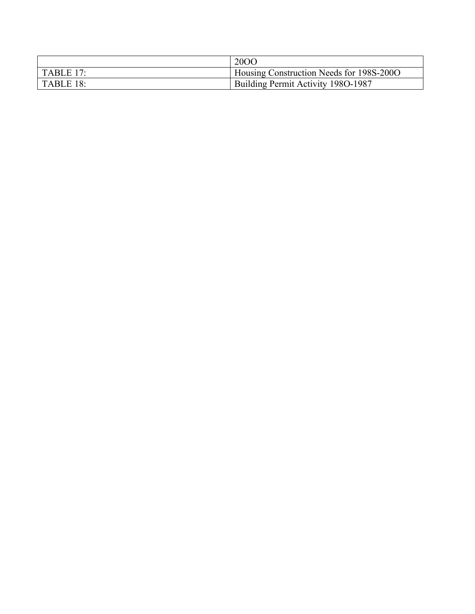|                  | 2000                                     |
|------------------|------------------------------------------|
| <b>TABLE 17:</b> | Housing Construction Needs for 198S-200O |
| TABLE 18:        | Building Permit Activity 1980-1987       |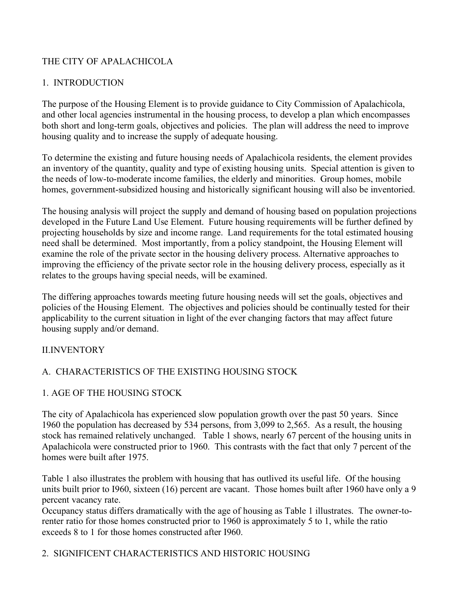# THE CITY OF APALACHICOLA

## 1. INTRODUCTION

The purpose of the Housing Element is to provide guidance to City Commission of Apalachicola, and other local agencies instrumental in the housing process, to develop a plan which encompasses both short and long-term goals, objectives and policies. The plan will address the need to improve housing quality and to increase the supply of adequate housing.

To determine the existing and future housing needs of Apalachicola residents, the element provides an inventory of the quantity, quality and type of existing housing units. Special attention is given to the needs of low-to-moderate income families, the elderly and minorities. Group homes, mobile homes, government-subsidized housing and historically significant housing will also be inventoried.

The housing analysis will project the supply and demand of housing based on population projections developed in the Future Land Use Element. Future housing requirements will be further defined by projecting households by size and income range. Land requirements for the total estimated housing need shall be determined. Most importantly, from a policy standpoint, the Housing Element will examine the role of the private sector in the housing delivery process. Alternative approaches to improving the efficiency of the private sector role in the housing delivery process, especially as it relates to the groups having special needs, will be examined.

The differing approaches towards meeting future housing needs will set the goals, objectives and policies of the Housing Element. The objectives and policies should be continually tested for their applicability to the current situation in light of the ever changing factors that may affect future housing supply and/or demand.

### II.INVENTORY

# A. CHARACTERISTICS OF THE EXISTING HOUSING STOCK

### 1. AGE OF THE HOUSING STOCK

The city of Apalachicola has experienced slow population growth over the past 50 years. Since 1960 the population has decreased by 534 persons, from 3,099 to 2,565. As a result, the housing stock has remained relatively unchanged. Table 1 shows, nearly 67 percent of the housing units in Apalachicola were constructed prior to 1960. This contrasts with the fact that only 7 percent of the homes were built after 1975.

Table 1 also illustrates the problem with housing that has outlived its useful life. Of the housing units built prior to I960, sixteen (16) percent are vacant. Those homes built after 1960 have only a 9 percent vacancy rate.

Occupancy status differs dramatically with the age of housing as Table 1 illustrates. The owner-torenter ratio for those homes constructed prior to 1960 is approximately 5 to 1, while the ratio exceeds 8 to 1 for those homes constructed after I960.

### 2. SIGNIFICENT CHARACTERISTICS AND HISTORIC HOUSING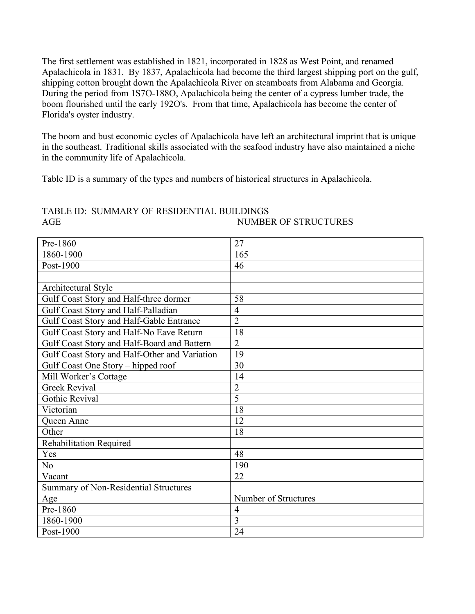The first settlement was established in 1821, incorporated in 1828 as West Point, and renamed Apalachicola in 1831. By 1837, Apalachicola had become the third largest shipping port on the gulf, shipping cotton brought down the Apalachicola River on steamboats from Alabama and Georgia. During the period from 1S7O-188O, Apalachicola being the center of a cypress lumber trade, the boom flourished until the early 192O's. From that time, Apalachicola has become the center of Florida's oyster industry.

The boom and bust economic cycles of Apalachicola have left an architectural imprint that is unique in the southeast. Traditional skills associated with the seafood industry have also maintained a niche in the community life of Apalachicola.

Table ID is a summary of the types and numbers of historical structures in Apalachicola.

# TABLE ID: SUMMARY OF RESIDENTIAL BUILDINGS AGE NUMBER OF STRUCTURES

| Pre-1860                                      | 27                   |
|-----------------------------------------------|----------------------|
| 1860-1900                                     | 165                  |
| Post-1900                                     | 46                   |
|                                               |                      |
| Architectural Style                           |                      |
| Gulf Coast Story and Half-three dormer        | 58                   |
| Gulf Coast Story and Half-Palladian           | $\overline{4}$       |
| Gulf Coast Story and Half-Gable Entrance      | $\overline{2}$       |
| Gulf Coast Story and Half-No Eave Return      | 18                   |
| Gulf Coast Story and Half-Board and Battern   | $\overline{2}$       |
| Gulf Coast Story and Half-Other and Variation | 19                   |
| Gulf Coast One Story - hipped roof            | 30                   |
| Mill Worker's Cottage                         | 14                   |
| <b>Greek Revival</b>                          | $\overline{2}$       |
| Gothic Revival                                | $\overline{5}$       |
| Victorian                                     | 18                   |
| Queen Anne                                    | 12                   |
| Other                                         | 18                   |
| <b>Rehabilitation Required</b>                |                      |
| Yes                                           | 48                   |
| N <sub>o</sub>                                | 190                  |
| Vacant                                        | 22                   |
| Summary of Non-Residential Structures         |                      |
| Age                                           | Number of Structures |
| Pre-1860                                      | $\overline{4}$       |
| 1860-1900                                     | 3                    |
| Post-1900                                     | 24                   |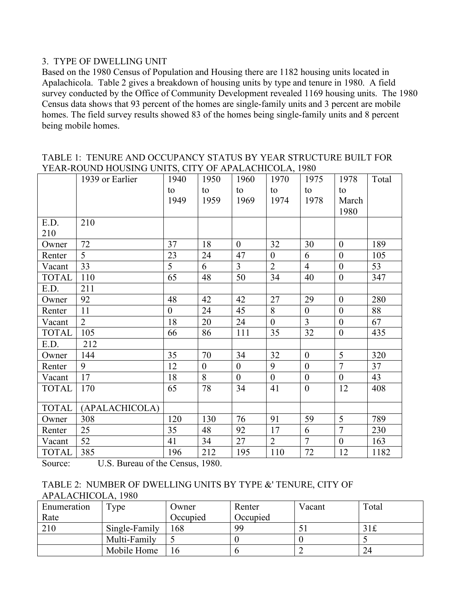#### 3. TYPE OF DWELLING UNIT

Based on the 1980 Census of Population and Housing there are 1182 housing units located in Apalachicola. Table 2 gives a breakdown of housing units by type and tenure in 1980. A field survey conducted by the Office of Community Development revealed 1169 housing units. The 1980 Census data shows that 93 percent of the homes are single-family units and 3 percent are mobile homes. The field survey results showed 83 of the homes being single-family units and 8 percent being mobile homes.

TABLE 1: TENURE AND OCCUPANCY STATUS BY YEAR STRUCTURE BUILT FOR YEAR-ROUND HOUSING UNITS, CITY OF APALACHICOLA, 1980

|              | $\frac{1}{2}$ and $\frac{1}{2}$ . The state of the state of $\frac{1}{2}$ is the state of $\frac{1}{2}$<br>1939 or Earlier | 1940           | 1950           | 1960           | 1970           | 1975           | 1978             | Total |
|--------------|----------------------------------------------------------------------------------------------------------------------------|----------------|----------------|----------------|----------------|----------------|------------------|-------|
|              |                                                                                                                            | to             | to             | to             | to             | to             | to               |       |
|              |                                                                                                                            | 1949           | 1959           | 1969           | 1974           | 1978           | March            |       |
|              |                                                                                                                            |                |                |                |                |                | 1980             |       |
| E.D.         | 210                                                                                                                        |                |                |                |                |                |                  |       |
| 210          |                                                                                                                            |                |                |                |                |                |                  |       |
| Owner        | 72                                                                                                                         | 37             | 18             | $\overline{0}$ | 32             | 30             | $\boldsymbol{0}$ | 189   |
| Renter       | 5                                                                                                                          | 23             | 24             | 47             | $\overline{0}$ | 6              | $\boldsymbol{0}$ | 105   |
| Vacant       | 33                                                                                                                         | 5              | 6              | $\overline{3}$ | $\overline{2}$ | $\overline{4}$ | $\boldsymbol{0}$ | 53    |
| <b>TOTAL</b> | 110                                                                                                                        | 65             | 48             | 50             | 34             | 40             | $\boldsymbol{0}$ | 347   |
| E.D.         | 211                                                                                                                        |                |                |                |                |                |                  |       |
| Owner        | 92                                                                                                                         | 48             | 42             | 42             | 27             | 29             | $\boldsymbol{0}$ | 280   |
| Renter       | 11                                                                                                                         | $\overline{0}$ | 24             | 45             | 8              | $\overline{0}$ | $\overline{0}$   | 88    |
| Vacant       | $\overline{2}$                                                                                                             | 18             | 20             | 24             | $\overline{0}$ | $\overline{3}$ | $\boldsymbol{0}$ | 67    |
| <b>TOTAL</b> | 105                                                                                                                        | 66             | 86             | 111            | 35             | 32             | $\boldsymbol{0}$ | 435   |
| E.D.         | 212                                                                                                                        |                |                |                |                |                |                  |       |
| Owner        | 144                                                                                                                        | 35             | 70             | 34             | 32             | $\mathbf{0}$   | 5                | 320   |
| Renter       | 9                                                                                                                          | 12             | $\overline{0}$ | $\overline{0}$ | 9              | $\mathbf{0}$   | $\overline{7}$   | 37    |
| Vacant       | 17                                                                                                                         | 18             | 8              | $\overline{0}$ | $\overline{0}$ | $\mathbf{0}$   | $\overline{0}$   | 43    |
| <b>TOTAL</b> | 170                                                                                                                        | 65             | 78             | 34             | 41             | $\mathbf{0}$   | 12               | 408   |
|              |                                                                                                                            |                |                |                |                |                |                  |       |
| <b>TOTAL</b> | (APALACHICOLA)                                                                                                             |                |                |                |                |                |                  |       |
| Owner        | 308                                                                                                                        | 120            | 130            | 76             | 91             | 59             | 5                | 789   |
| Renter       | 25                                                                                                                         | 35             | 48             | 92             | 17             | 6              | $\overline{7}$   | 230   |
| Vacant       | 52                                                                                                                         | 41             | 34             | 27             | $\overline{2}$ | $\overline{7}$ | $\boldsymbol{0}$ | 163   |
| <b>TOTAL</b> | 385                                                                                                                        | 196            | 212            | 195            | 110            | $72\,$         | 12               | 1182  |

Source: U.S. Bureau of the Census, 1980.

| TABLE 2: NUMBER OF DWELLING UNITS BY TYPE & TENURE, CITY OF |  |
|-------------------------------------------------------------|--|
| APALACHICOLA, 1980                                          |  |

| Enumeration | $r_{\rm vpe}$ | Owner    | Renter   | Vacant | Total |
|-------------|---------------|----------|----------|--------|-------|
| Rate        |               | Occupied | Occupied |        |       |
| 210         | Single-Family | .68      | 99       |        | 31f   |
|             | Multi-Family  |          |          |        |       |
|             | Mobile Home   |          |          |        | 24    |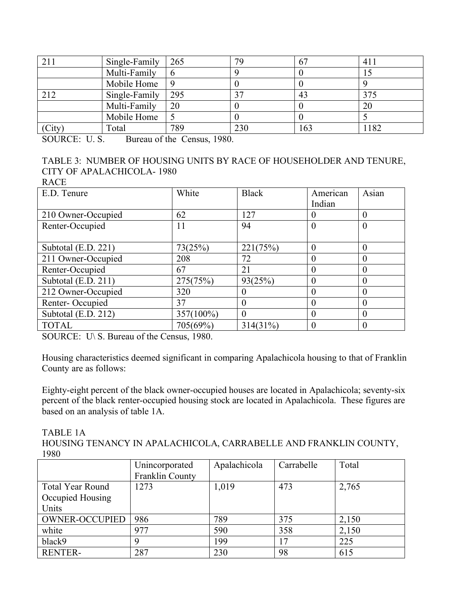| 211    | Single-Family | 265 | 79  | 67 | 411  |
|--------|---------------|-----|-----|----|------|
|        | Multi-Family  | n   |     |    | IJ   |
|        | Mobile Home   | 9   |     |    |      |
| 212    | Single-Family | 295 | າາ  |    | 375  |
|        | Multi-Family  | 20  |     |    | 20   |
|        | Mobile Home   |     |     |    |      |
| (City) | Total         | 789 | 230 | 63 | 1182 |

SOURCE: U.S. Bureau of the Census, 1980.

# TABLE 3: NUMBER OF HOUSING UNITS BY RACE OF HOUSEHOLDER AND TENURE, CITY OF APALACHICOLA- 1980

RACE

| E.D. Tenure         | White        | <b>Black</b> | American<br>Indian | Asian    |
|---------------------|--------------|--------------|--------------------|----------|
| 210 Owner-Occupied  | 62           | 127          | $\theta$           | $\Omega$ |
| Renter-Occupied     | 11           | 94           | $\boldsymbol{0}$   | $\theta$ |
|                     |              |              |                    |          |
| Subtotal (E.D. 221) | 73(25%)      | 221(75%)     | $\overline{0}$     | $\theta$ |
| 211 Owner-Occupied  | 208          | 72           | $\overline{0}$     | $\Omega$ |
| Renter-Occupied     | 67           | 21           | $\Omega$           | $\Omega$ |
| Subtotal (E.D. 211) | 275(75%)     | 93(25%)      | $\overline{0}$     | $\theta$ |
| 212 Owner-Occupied  | 320          | 0            | $\overline{0}$     | $\Omega$ |
| Renter-Occupied     | 37           | 0            | $\Omega$           | $\Omega$ |
| Subtotal (E.D. 212) | $357(100\%)$ | 0            | $\theta$           | $\theta$ |
| <b>TOTAL</b>        | 705(69%)     | $314(31\%)$  | $\Omega$           | $\Omega$ |

SOURCE: U\ S. Bureau of the Census, 1980.

Housing characteristics deemed significant in comparing Apalachicola housing to that of Franklin County are as follows:

Eighty-eight percent of the black owner-occupied houses are located in Apalachicola; seventy-six percent of the black renter-occupied housing stock are located in Apalachicola. These figures are based on an analysis of table 1A.

TABLE 1A

HOUSING TENANCY IN APALACHICOLA, CARRABELLE AND FRANKLIN COUNTY, 1980

|                         | Unincorporated  | Apalachicola | Carrabelle | Total |
|-------------------------|-----------------|--------------|------------|-------|
|                         | Franklin County |              |            |       |
| <b>Total Year Round</b> | 1273            | 1,019        | 473        | 2,765 |
| Occupied Housing        |                 |              |            |       |
| Units                   |                 |              |            |       |
| <b>OWNER-OCCUPIED</b>   | 986             | 789          | 375        | 2,150 |
| white                   | 977             | 590          | 358        | 2,150 |
| black9                  |                 | 199          | 17         | 225   |
| <b>RENTER-</b>          | 287             | 230          | 98         | 615   |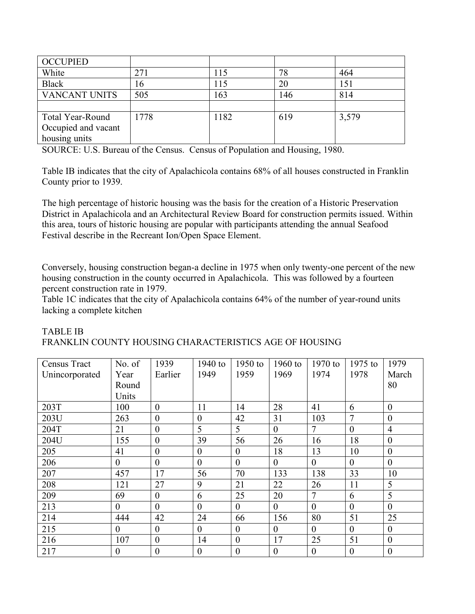| <b>OCCUPIED</b>      |      |      |     |       |
|----------------------|------|------|-----|-------|
| White                | 271  | 115  | 78  | 464   |
| <b>Black</b>         | 16   | 115  | 20  | 151   |
| <b>VANCANT UNITS</b> | 505  | 163  | 146 | 814   |
|                      |      |      |     |       |
| Total Year-Round     | 1778 | 1182 | 619 | 3,579 |
| Occupied and vacant  |      |      |     |       |
| housing units        |      |      |     |       |

SOURCE: U.S. Bureau of the Census. Census of Population and Housing, 1980.

Table IB indicates that the city of Apalachicola contains 68% of all houses constructed in Franklin County prior to 1939.

The high percentage of historic housing was the basis for the creation of a Historic Preservation District in Apalachicola and an Architectural Review Board for construction permits issued. Within this area, tours of historic housing are popular with participants attending the annual Seafood Festival describe in the Recreant Ion/Open Space Element.

Conversely, housing construction began-a decline in 1975 when only twenty-one percent of the new housing construction in the county occurred in Apalachicola. This was followed by a fourteen percent construction rate in 1979.

Table 1C indicates that the city of Apalachicola contains 64% of the number of year-round units lacking a complete kitchen

| Census Tract   | No. of           | 1939             | 1940 to          | 1950 to          | 1960 to          | 1970 to          | $1975$ to        | 1979             |
|----------------|------------------|------------------|------------------|------------------|------------------|------------------|------------------|------------------|
| Unincorporated | Year             | Earlier          | 1949             | 1959             | 1969             | 1974             | 1978             | March            |
|                | Round            |                  |                  |                  |                  |                  |                  | 80               |
|                | Units            |                  |                  |                  |                  |                  |                  |                  |
| 203T           | 100              | $\boldsymbol{0}$ | 11               | 14               | 28               | 41               | 6                | $\boldsymbol{0}$ |
| 203U           | 263              | $\theta$         | $\overline{0}$   | 42               | 31               | 103              | 7                | $\boldsymbol{0}$ |
| 204T           | 21               | $\theta$         | 5                | 5                | $\theta$         | 7                | $\theta$         | $\overline{4}$   |
| 204U           | 155              | $\boldsymbol{0}$ | 39               | 56               | 26               | 16               | 18               | $\boldsymbol{0}$ |
| 205            | 41               | $\boldsymbol{0}$ | $\overline{0}$   | $\overline{0}$   | 18               | 13               | 10               | $\boldsymbol{0}$ |
| 206            | $\theta$         | $\theta$         | $\overline{0}$   | $\overline{0}$   | $\theta$         | $\mathbf{0}$     | $\theta$         | $\mathbf{0}$     |
| 207            | 457              | 17               | 56               | 70               | 133              | 138              | 33               | 10               |
| 208            | 121              | 27               | 9                | 21               | 22               | 26               | 11               | 5                |
| 209            | 69               | $\theta$         | 6                | 25               | 20               | $\overline{7}$   | 6                | 5                |
| 213            | $\theta$         | $\theta$         | $\theta$         | $\theta$         | $\overline{0}$   | $\theta$         | $\theta$         | $\theta$         |
| 214            | 444              | 42               | 24               | 66               | 156              | 80               | 51               | 25               |
| 215            | $\theta$         | $\theta$         | $\theta$         | $\theta$         | $\theta$         | $\theta$         | $\theta$         | $\boldsymbol{0}$ |
| 216            | 107              | $\theta$         | 14               | $\theta$         | 17               | 25               | 51               | $\boldsymbol{0}$ |
| 217            | $\boldsymbol{0}$ | $\boldsymbol{0}$ | $\boldsymbol{0}$ | $\boldsymbol{0}$ | $\boldsymbol{0}$ | $\boldsymbol{0}$ | $\boldsymbol{0}$ | $\boldsymbol{0}$ |

#### TABLE IB FRANKLIN COUNTY HOUSING CHARACTERISTICS AGE OF HOUSING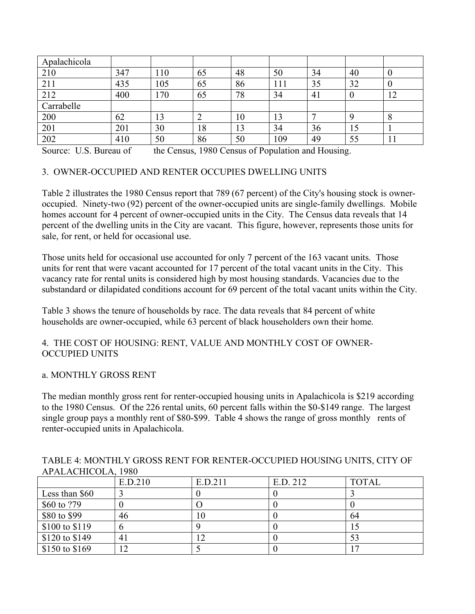| Apalachicola |     |     |    |    |     |    |    |               |
|--------------|-----|-----|----|----|-----|----|----|---------------|
| 210          | 347 | 110 | 65 | 48 | 50  | 34 | 40 | 0             |
| 211          | 435 | 105 | 65 | 86 | 111 | 35 | 32 | U             |
| 212          | 400 | 170 | 65 | 78 | 34  | 41 |    | $1 \cap$<br>╹ |
| Carrabelle   |     |     |    |    |     |    |    |               |
| 200          | 62  | 13  |    | 10 | 13  |    |    | 8             |
| 201          | 201 | 30  | 18 | 13 | 34  | 36 | 15 |               |
| 202          | 410 | 50  | 86 | 50 | 109 | 49 | 55 | 1 I           |

Source: U.S. Bureau of the Census, 1980 Census of Population and Housing.

#### 3. OWNER-OCCUPIED AND RENTER OCCUPIES DWELLING UNITS

Table 2 illustrates the 1980 Census report that 789 (67 percent) of the City's housing stock is owneroccupied. Ninety-two (92) percent of the owner-occupied units are single-family dwellings. Mobile homes account for 4 percent of owner-occupied units in the City. The Census data reveals that 14 percent of the dwelling units in the City are vacant. This figure, however, represents those units for sale, for rent, or held for occasional use.

Those units held for occasional use accounted for only 7 percent of the 163 vacant units. Those units for rent that were vacant accounted for 17 percent of the total vacant units in the City. This vacancy rate for rental units is considered high by most housing standards. Vacancies due to the substandard or dilapidated conditions account for 69 percent of the total vacant units within the City.

Table 3 shows the tenure of households by race. The data reveals that 84 percent of white households are owner-occupied, while 63 percent of black householders own their home.

#### 4. THE COST OF HOUSING: RENT, VALUE AND MONTHLY COST OF OWNER-OCCUPIED UNITS

#### a. MONTHLY GROSS RENT

The median monthly gross rent for renter-occupied housing units in Apalachicola is \$219 according to the 1980 Census. Of the 226 rental units, 60 percent falls within the \$0-\$149 range. The largest single group pays a monthly rent of \$80-\$99. Table 4 shows the range of gross monthly rents of renter-occupied units in Apalachicola.

| TABLE 4: MONTHLY GROSS RENT FOR RENTER-OCCUPIED HOUSING UNITS, CITY OF |  |  |  |
|------------------------------------------------------------------------|--|--|--|
| APALACHICOLA, 1980                                                     |  |  |  |
|                                                                        |  |  |  |

|                | E.D.210 | E.D.211 | E.D. 212 | <b>TOTAL</b> |
|----------------|---------|---------|----------|--------------|
| Less than \$60 |         |         |          |              |
| \$60 to ?79    |         |         |          |              |
| \$80 to \$99   | 46      | 10      |          | 64           |
| \$100 to \$119 |         |         |          |              |
| \$120 to \$149 | 41      |         |          |              |
| \$150 to \$169 | 12      |         |          |              |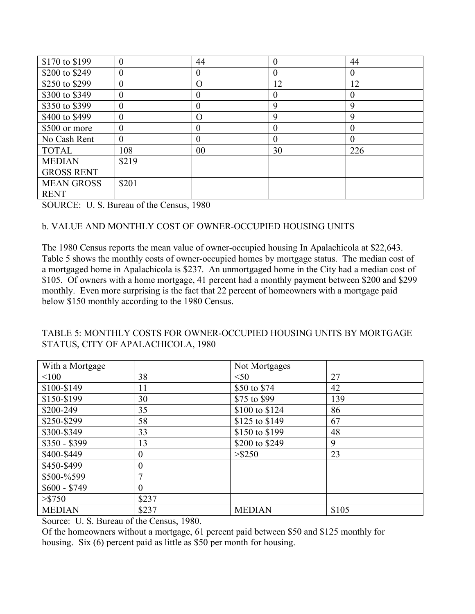| \$170 to \$199    | $\overline{0}$   | 44       | 0              | 44       |
|-------------------|------------------|----------|----------------|----------|
| \$200 to \$249    | $\theta$         | 0        | 0              | $\theta$ |
| \$250 to \$299    | $\boldsymbol{0}$ | O        | 12             | 12       |
| \$300 to \$349    | $\overline{0}$   | 0        | 0              | $\theta$ |
| \$350 to \$399    | $\boldsymbol{0}$ | $\theta$ | 9              | 9        |
| \$400 to \$499    | $\overline{0}$   | $\Omega$ | 9              | 9        |
| \$500 or more     | $\overline{0}$   | $\theta$ | $\overline{0}$ | $\theta$ |
| No Cash Rent      | $\theta$         | $\theta$ | 0              | $\theta$ |
| <b>TOTAL</b>      | 108              | 00       | 30             | 226      |
| <b>MEDIAN</b>     | \$219            |          |                |          |
| <b>GROSS RENT</b> |                  |          |                |          |
| <b>MEAN GROSS</b> | \$201            |          |                |          |
| <b>RENT</b>       |                  |          |                |          |

SOURCE: U. S. Bureau of the Census, 1980

#### b. VALUE AND MONTHLY COST OF OWNER-OCCUPIED HOUSING UNITS

The 1980 Census reports the mean value of owner-occupied housing In Apalachicola at \$22,643. Table 5 shows the monthly costs of owner-occupied homes by mortgage status. The median cost of a mortgaged home in Apalachicola is \$237. An unmortgaged home in the City had a median cost of \$105. Of owners with a home mortgage, 41 percent had a monthly payment between \$200 and \$299 monthly. Even more surprising is the fact that 22 percent of homeowners with a mortgage paid below \$150 monthly according to the 1980 Census.

## TABLE 5: MONTHLY COSTS FOR OWNER-OCCUPIED HOUSING UNITS BY MORTGAGE STATUS, CITY OF APALACHICOLA, 1980

| With a Mortgage |                  | Not Mortgages  |       |
|-----------------|------------------|----------------|-------|
| < 100           | 38               | < 50           | 27    |
| \$100-\$149     | 11               | \$50 to \$74   | 42    |
| \$150-\$199     | 30               | \$75 to \$99   | 139   |
| \$200-249       | 35               | \$100 to \$124 | 86    |
| \$250-\$299     | 58               | \$125 to \$149 | 67    |
| \$300-\$349     | 33               | \$150 to \$199 | 48    |
| $$350 - $399$   | 13               | \$200 to \$249 | 9     |
| \$400-\$449     | $\boldsymbol{0}$ | $>$ \$250      | 23    |
| \$450-\$499     | $\theta$         |                |       |
| \$500-%599      | 7                |                |       |
| $$600 - $749$   | $\theta$         |                |       |
| > \$750         | \$237            |                |       |
| <b>MEDIAN</b>   | \$237            | <b>MEDIAN</b>  | \$105 |

Source: U. S. Bureau of the Census, 1980.

Of the homeowners without a mortgage, 61 percent paid between \$50 and \$125 monthly for housing. Six (6) percent paid as little as \$50 per month for housing.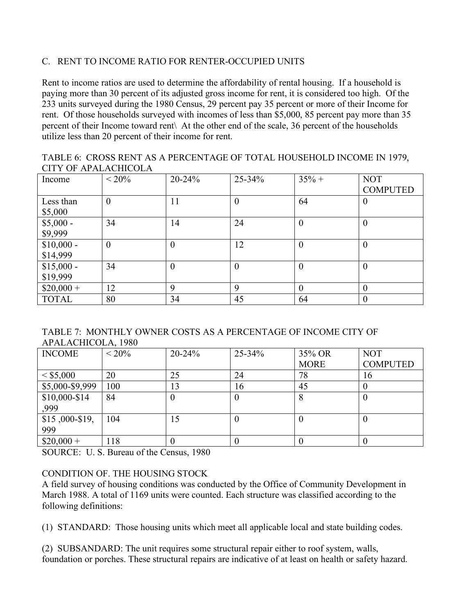### C. RENT TO INCOME RATIO FOR RENTER-OCCUPIED UNITS

Rent to income ratios are used to determine the affordability of rental housing. If a household is paying more than 30 percent of its adjusted gross income for rent, it is considered too high. Of the 233 units surveyed during the 1980 Census, 29 percent pay 35 percent or more of their Income for rent. Of those households surveyed with incomes of less than \$5,000, 85 percent pay more than 35 percent of their Income toward rent\ At the other end of the scale, 36 percent of the households utilize less than 20 percent of their income for rent.

| TABLE 6: CROSS RENT AS A PERCENTAGE OF TOTAL HOUSEHOLD INCOME IN 1979, |  |
|------------------------------------------------------------------------|--|
| <b>CITY OF APALACHICOLA</b>                                            |  |

| Income       | $< 20\%$       | $20 - 24%$       | $25 - 34%$       | $35% +$        | <b>NOT</b>       |
|--------------|----------------|------------------|------------------|----------------|------------------|
|              |                |                  |                  |                | <b>COMPUTED</b>  |
| Less than    | $\mathbf{0}$   | 11               | $\theta$         | 64             | $\theta$         |
| \$5,000      |                |                  |                  |                |                  |
| $$5,000 -$   | 34             | 14               | 24               | $\theta$       | $\theta$         |
| \$9,999      |                |                  |                  |                |                  |
| $$10,000 -$  | $\overline{0}$ | $\boldsymbol{0}$ | 12               | $\overline{0}$ | $\theta$         |
| \$14,999     |                |                  |                  |                |                  |
| $$15,000 -$  | 34             | $\boldsymbol{0}$ | $\boldsymbol{0}$ | $\theta$       | $\boldsymbol{0}$ |
| \$19,999     |                |                  |                  |                |                  |
| $$20,000+$   | 12             | 9                | $\mathbf Q$      | $\theta$       | $\theta$         |
| <b>TOTAL</b> | 80             | 34               | 45               | 64             | $\boldsymbol{0}$ |

TABLE 7: MONTHLY OWNER COSTS AS A PERCENTAGE OF INCOME CITY OF APALACHICOLA, 1980

| <b>INCOME</b>   | $< 20\%$ | $20 - 24%$ | $25 - 34\%$ | 35% OR      | <b>NOT</b>      |
|-----------------|----------|------------|-------------|-------------|-----------------|
|                 |          |            |             | <b>MORE</b> | <b>COMPUTED</b> |
| $<$ \$5,000     | 20       | 25         | 24          | 78          | 16              |
| \$5,000-\$9,999 | 100      | 13         | 16          | 45          |                 |
| $$10,000-S14$   | 84       | 0          |             |             | U               |
| ,999            |          |            |             |             |                 |
| $$15,000-S19,$  | 104      | 15         |             |             | U               |
| 999             |          |            |             |             |                 |
| $$20,000+$      | 118      | v          |             |             |                 |

SOURCE: U. S. Bureau of the Census, 1980

### CONDITION OF. THE HOUSING STOCK

A field survey of housing conditions was conducted by the Office of Community Development in March 1988. A total of 1169 units were counted. Each structure was classified according to the following definitions:

(1) STANDARD: Those housing units which meet all applicable local and state building codes.

(2) SUBSANDARD: The unit requires some structural repair either to roof system, walls, foundation or porches. These structural repairs are indicative of at least on health or safety hazard.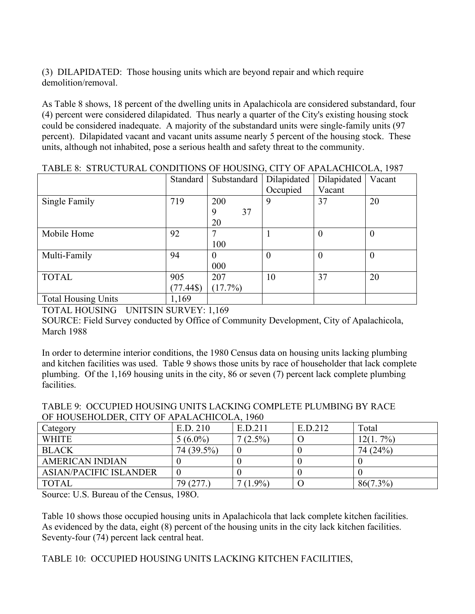(3) DILAPIDATED: Those housing units which are beyond repair and which require demolition/removal.

As Table 8 shows, 18 percent of the dwelling units in Apalachicola are considered substandard, four (4) percent were considered dilapidated. Thus nearly a quarter of the City's existing housing stock could be considered inadequate. A majority of the substandard units were single-family units (97 percent). Dilapidated vacant and vacant units assume nearly 5 percent of the housing stock. These units, although not inhabited, pose a serious health and safety threat to the community.

|                            | Standard  | Substandard | Dilapidated | Dilapidated    | Vacant         |
|----------------------------|-----------|-------------|-------------|----------------|----------------|
|                            |           |             | Occupied    | Vacant         |                |
| Single Family              | 719       | 200         | 9           | 37             | 20             |
|                            |           | 37<br>9     |             |                |                |
|                            |           | 20          |             |                |                |
| Mobile Home                | 92        |             |             | $\theta$       | $\overline{0}$ |
|                            |           | 100         |             |                |                |
| Multi-Family               | 94        |             | 0           | $\overline{0}$ | $\overline{0}$ |
|                            |           | 000         |             |                |                |
| <b>TOTAL</b>               | 905       | 207         | 10          | 37             | 20             |
|                            | $(77.44\$ | $(17.7\%)$  |             |                |                |
| <b>Total Housing Units</b> | 1,169     |             |             |                |                |

TABLE 8: STRUCTURAL CONDITIONS OF HOUSING, CITY OF APALACHICOLA, 1987

TOTAL HOUSING UNITSIN SURVEY: 1,169

SOURCE: Field Survey conducted by Office of Community Development, City of Apalachicola, March 1988

In order to determine interior conditions, the 1980 Census data on housing units lacking plumbing and kitchen facilities was used. Table 9 shows those units by race of householder that lack complete plumbing. Of the 1,169 housing units in the city, 86 or seven (7) percent lack complete plumbing facilities.

| OF HOUSEHOLDER, CITY OF APALACHICOLA, 1960 |            |            |         |             |  |  |  |
|--------------------------------------------|------------|------------|---------|-------------|--|--|--|
| Category                                   | E.D. 210   | E.D.211    | E.D.212 | Total       |  |  |  |
| <b>WHITE</b>                               | $5(6.0\%)$ | $7(2.5\%)$ |         | $12(1.7\%)$ |  |  |  |
| <b>BLACK</b>                               | 74 (39.5%) |            |         | 74 (24%)    |  |  |  |
| <b>AMERICAN INDIAN</b>                     |            |            |         |             |  |  |  |
| <b>ASIAN/PACIFIC ISLANDER</b>              |            |            |         |             |  |  |  |
| <b>TOTAL</b>                               | 79(277)    | $(1.9\%)$  |         | $86(7.3\%)$ |  |  |  |

TABLE 9: OCCUPIED HOUSING UNITS LACKING COMPLETE PLUMBING BY RACE  $\overline{U}$ OF DER CITY OF APALACHICOLA

Source: U.S. Bureau of the Census, 198O.

Table 10 shows those occupied housing units in Apalachicola that lack complete kitchen facilities. As evidenced by the data, eight (8) percent of the housing units in the city lack kitchen facilities. Seventy-four (74) percent lack central heat.

TABLE 10: OCCUPIED HOUSING UNITS LACKING KITCHEN FACILITIES,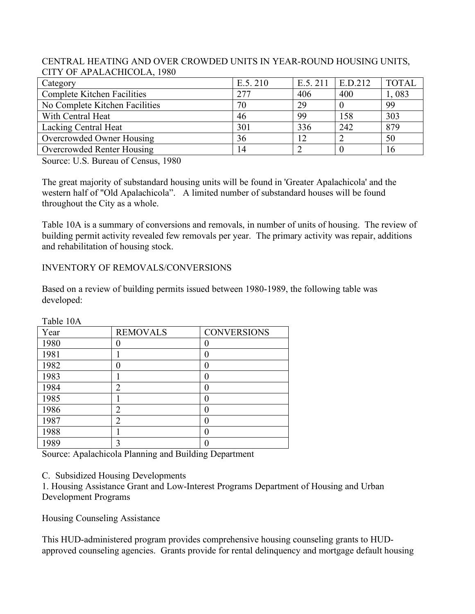#### CENTRAL HEATING AND OVER CROWDED UNITS IN YEAR-ROUND HOUSING UNITS, CITY OF APALACHICOLA, 1980

| Category                           | E.5.210 | E.5.211 | E.D.212 | <b>TOTAL</b> |
|------------------------------------|---------|---------|---------|--------------|
| <b>Complete Kitchen Facilities</b> | 277     | 406     | 400     | 1,083        |
| No Complete Kitchen Facilities     | 70      | 29      |         | 99           |
| With Central Heat                  | 46      | 99      | 158     | 303          |
| Lacking Central Heat               | 301     | 336     | 242     | 879          |
| Overcrowded Owner Housing          | 36      |         |         | 50           |
| Overcrowded Renter Housing         | 14      |         |         | 16           |

Source: U.S. Bureau of Census, 1980

The great majority of substandard housing units will be found in 'Greater Apalachicola' and the western half of "Old Apalachicola". A limited number of substandard houses will be found throughout the City as a whole.

Table 10A is a summary of conversions and removals, in number of units of housing. The review of building permit activity revealed few removals per year. The primary activity was repair, additions and rehabilitation of housing stock.

INVENTORY OF REMOVALS/CONVERSIONS

Based on a review of building permits issued between 1980-1989, the following table was developed:

| Year | <b>REMOVALS</b> | <b>CONVERSIONS</b> |
|------|-----------------|--------------------|
| 1980 |                 |                    |
| 1981 |                 | 0                  |
| 1982 |                 |                    |
| 1983 |                 |                    |
| 1984 | 2               |                    |
| 1985 |                 |                    |
| 1986 | 2               |                    |
| 1987 | $\overline{2}$  |                    |
| 1988 |                 |                    |
| 1989 | 3               |                    |

Table 10A

Source: Apalachicola Planning and Building Department

C. Subsidized Housing Developments

1. Housing Assistance Grant and Low-Interest Programs Department of Housing and Urban Development Programs

Housing Counseling Assistance

This HUD-administered program provides comprehensive housing counseling grants to HUDapproved counseling agencies. Grants provide for rental delinquency and mortgage default housing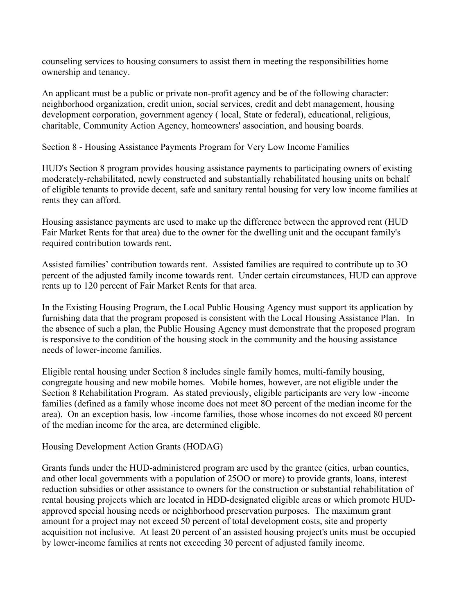counseling services to housing consumers to assist them in meeting the responsibilities home ownership and tenancy.

An applicant must be a public or private non-profit agency and be of the following character: neighborhood organization, credit union, social services, credit and debt management, housing development corporation, government agency ( local, State or federal), educational, religious, charitable, Community Action Agency, homeowners' association, and housing boards.

Section 8 - Housing Assistance Payments Program for Very Low Income Families

HUD's Section 8 program provides housing assistance payments to participating owners of existing moderately-rehabilitated, newly constructed and substantially rehabilitated housing units on behalf of eligible tenants to provide decent, safe and sanitary rental housing for very low income families at rents they can afford.

Housing assistance payments are used to make up the difference between the approved rent (HUD Fair Market Rents for that area) due to the owner for the dwelling unit and the occupant family's required contribution towards rent.

Assisted families' contribution towards rent. Assisted families are required to contribute up to 3O percent of the adjusted family income towards rent. Under certain circumstances, HUD can approve rents up to 120 percent of Fair Market Rents for that area.

In the Existing Housing Program, the Local Public Housing Agency must support its application by furnishing data that the program proposed is consistent with the Local Housing Assistance Plan. In the absence of such a plan, the Public Housing Agency must demonstrate that the proposed program is responsive to the condition of the housing stock in the community and the housing assistance needs of lower-income families.

Eligible rental housing under Section 8 includes single family homes, multi-family housing, congregate housing and new mobile homes. Mobile homes, however, are not eligible under the Section 8 Rehabilitation Program. As stated previously, eligible participants are very low -income families (defined as a family whose income does not meet 8O percent of the median income for the area). On an exception basis, low -income families, those whose incomes do not exceed 80 percent of the median income for the area, are determined eligible.

Housing Development Action Grants (HODAG)

Grants funds under the HUD-administered program are used by the grantee (cities, urban counties, and other local governments with a population of 25OO or more) to provide grants, loans, interest reduction subsidies or other assistance to owners for the construction or substantial rehabilitation of rental housing projects which are located in HDD-designated eligible areas or which promote HUDapproved special housing needs or neighborhood preservation purposes. The maximum grant amount for a project may not exceed 50 percent of total development costs, site and property acquisition not inclusive. At least 20 percent of an assisted housing project's units must be occupied by lower-income families at rents not exceeding 30 percent of adjusted family income.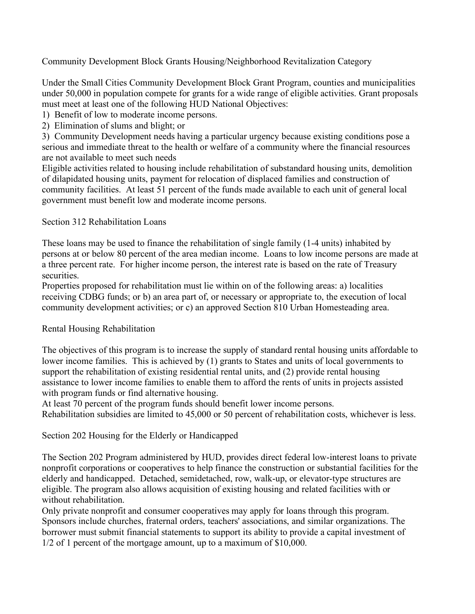Community Development Block Grants Housing/Neighborhood Revitalization Category

Under the Small Cities Community Development Block Grant Program, counties and municipalities under 50,000 in population compete for grants for a wide range of eligible activities. Grant proposals must meet at least one of the following HUD National Objectives:

1) Benefit of low to moderate income persons.

2) Elimination of slums and blight; or

3) Community Development needs having a particular urgency because existing conditions pose a serious and immediate threat to the health or welfare of a community where the financial resources are not available to meet such needs

Eligible activities related to housing include rehabilitation of substandard housing units, demolition of dilapidated housing units, payment for relocation of displaced families and construction of community facilities. At least 51 percent of the funds made available to each unit of general local government must benefit low and moderate income persons.

Section 312 Rehabilitation Loans

These loans may be used to finance the rehabilitation of single family (1-4 units) inhabited by persons at or below 80 percent of the area median income. Loans to low income persons are made at a three percent rate. For higher income person, the interest rate is based on the rate of Treasury securities.

Properties proposed for rehabilitation must lie within on of the following areas: a) localities receiving CDBG funds; or b) an area part of, or necessary or appropriate to, the execution of local community development activities; or c) an approved Section 810 Urban Homesteading area.

#### Rental Housing Rehabilitation

The objectives of this program is to increase the supply of standard rental housing units affordable to lower income families. This is achieved by (1) grants to States and units of local governments to support the rehabilitation of existing residential rental units, and (2) provide rental housing assistance to lower income families to enable them to afford the rents of units in projects assisted with program funds or find alternative housing.

At least 70 percent of the program funds should benefit lower income persons. Rehabilitation subsidies are limited to 45,000 or 50 percent of rehabilitation costs, whichever is less.

Section 202 Housing for the Elderly or Handicapped

The Section 202 Program administered by HUD, provides direct federal low-interest loans to private nonprofit corporations or cooperatives to help finance the construction or substantial facilities for the elderly and handicapped. Detached, semidetached, row, walk-up, or elevator-type structures are eligible. The program also allows acquisition of existing housing and related facilities with or without rehabilitation.

Only private nonprofit and consumer cooperatives may apply for loans through this program. Sponsors include churches, fraternal orders, teachers' associations, and similar organizations. The borrower must submit financial statements to support its ability to provide a capital investment of 1/2 of 1 percent of the mortgage amount, up to a maximum of \$10,000.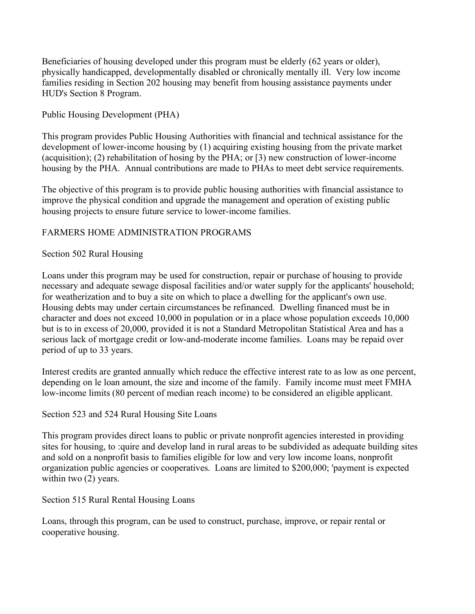Beneficiaries of housing developed under this program must be elderly (62 years or older), physically handicapped, developmentally disabled or chronically mentally ill. Very low income families residing in Section 202 housing may benefit from housing assistance payments under HUD's Section 8 Program.

### Public Housing Development (PHA)

This program provides Public Housing Authorities with financial and technical assistance for the development of lower-income housing by (1) acquiring existing housing from the private market (acquisition); (2) rehabilitation of hosing by the PHA; or [3) new construction of lower-income housing by the PHA. Annual contributions are made to PHAs to meet debt service requirements.

The objective of this program is to provide public housing authorities with financial assistance to improve the physical condition and upgrade the management and operation of existing public housing projects to ensure future service to lower-income families.

## FARMERS HOME ADMINISTRATION PROGRAMS

### Section 502 Rural Housing

Loans under this program may be used for construction, repair or purchase of housing to provide necessary and adequate sewage disposal facilities and/or water supply for the applicants' household; for weatherization and to buy a site on which to place a dwelling for the applicant's own use. Housing debts may under certain circumstances be refinanced. Dwelling financed must be in character and does not exceed 10,000 in population or in a place whose population exceeds 10,000 but is to in excess of 20,000, provided it is not a Standard Metropolitan Statistical Area and has a serious lack of mortgage credit or low-and-moderate income families. Loans may be repaid over period of up to 33 years.

Interest credits are granted annually which reduce the effective interest rate to as low as one percent, depending on le loan amount, the size and income of the family. Family income must meet FMHA low-income limits (80 percent of median reach income) to be considered an eligible applicant.

### Section 523 and 524 Rural Housing Site Loans

This program provides direct loans to public or private nonprofit agencies interested in providing sites for housing, to :quire and develop land in rural areas to be subdivided as adequate building sites and sold on a nonprofit basis to families eligible for low and very low income loans, nonprofit organization public agencies or cooperatives. Loans are limited to \$200,000; 'payment is expected within two  $(2)$  years.

### Section 515 Rural Rental Housing Loans

Loans, through this program, can be used to construct, purchase, improve, or repair rental or cooperative housing.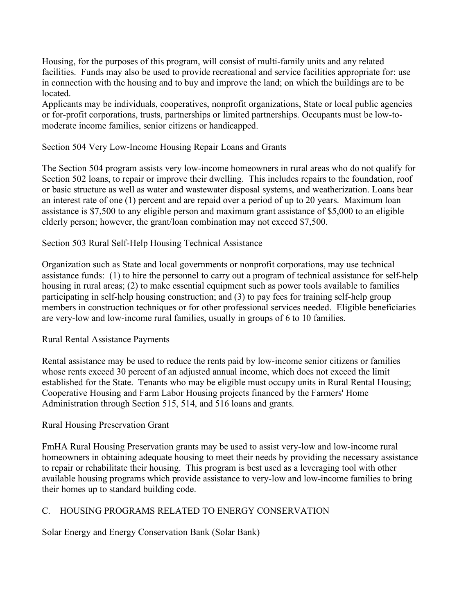Housing, for the purposes of this program, will consist of multi-family units and any related facilities. Funds may also be used to provide recreational and service facilities appropriate for: use in connection with the housing and to buy and improve the land; on which the buildings are to be located.

Applicants may be individuals, cooperatives, nonprofit organizations, State or local public agencies or for-profit corporations, trusts, partnerships or limited partnerships. Occupants must be low-tomoderate income families, senior citizens or handicapped.

#### Section 504 Very Low-Income Housing Repair Loans and Grants

The Section 504 program assists very low-income homeowners in rural areas who do not qualify for Section 502 loans, to repair or improve their dwelling. This includes repairs to the foundation, roof or basic structure as well as water and wastewater disposal systems, and weatherization. Loans bear an interest rate of one (1) percent and are repaid over a period of up to 20 years. Maximum loan assistance is \$7,500 to any eligible person and maximum grant assistance of \$5,000 to an eligible elderly person; however, the grant/loan combination may not exceed \$7,500.

#### Section 503 Rural Self-Help Housing Technical Assistance

Organization such as State and local governments or nonprofit corporations, may use technical assistance funds: (1) to hire the personnel to carry out a program of technical assistance for self-help housing in rural areas; (2) to make essential equipment such as power tools available to families participating in self-help housing construction; and (3) to pay fees for training self-help group members in construction techniques or for other professional services needed. Eligible beneficiaries are very-low and low-income rural families, usually in groups of 6 to 10 families.

#### Rural Rental Assistance Payments

Rental assistance may be used to reduce the rents paid by low-income senior citizens or families whose rents exceed 30 percent of an adjusted annual income, which does not exceed the limit established for the State. Tenants who may be eligible must occupy units in Rural Rental Housing; Cooperative Housing and Farm Labor Housing projects financed by the Farmers' Home Administration through Section 515, 514, and 516 loans and grants.

#### Rural Housing Preservation Grant

FmHA Rural Housing Preservation grants may be used to assist very-low and low-income rural homeowners in obtaining adequate housing to meet their needs by providing the necessary assistance to repair or rehabilitate their housing. This program is best used as a leveraging tool with other available housing programs which provide assistance to very-low and low-income families to bring their homes up to standard building code.

#### C. HOUSING PROGRAMS RELATED TO ENERGY CONSERVATION

Solar Energy and Energy Conservation Bank (Solar Bank)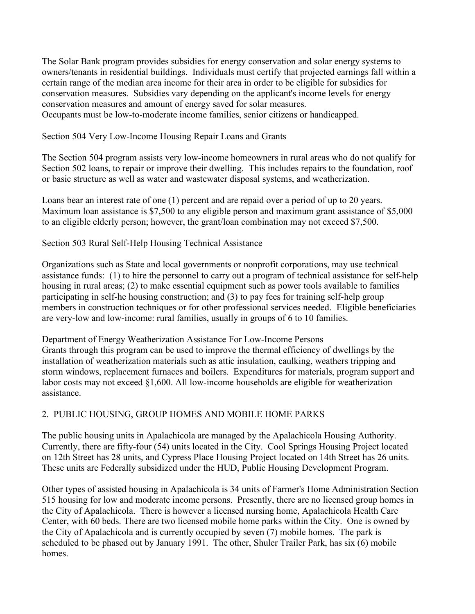The Solar Bank program provides subsidies for energy conservation and solar energy systems to owners/tenants in residential buildings. Individuals must certify that projected earnings fall within a certain range of the median area income for their area in order to be eligible for subsidies for conservation measures. Subsidies vary depending on the applicant's income levels for energy conservation measures and amount of energy saved for solar measures. Occupants must be low-to-moderate income families, senior citizens or handicapped.

Section 504 Very Low-Income Housing Repair Loans and Grants

The Section 504 program assists very low-income homeowners in rural areas who do not qualify for Section 502 loans, to repair or improve their dwelling. This includes repairs to the foundation, roof or basic structure as well as water and wastewater disposal systems, and weatherization.

Loans bear an interest rate of one (1) percent and are repaid over a period of up to 20 years. Maximum loan assistance is \$7,500 to any eligible person and maximum grant assistance of \$5,000 to an eligible elderly person; however, the grant/loan combination may not exceed \$7,500.

### Section 503 Rural Self-Help Housing Technical Assistance

Organizations such as State and local governments or nonprofit corporations, may use technical assistance funds: (1) to hire the personnel to carry out a program of technical assistance for self-help housing in rural areas; (2) to make essential equipment such as power tools available to families participating in self-he housing construction; and (3) to pay fees for training self-help group members in construction techniques or for other professional services needed. Eligible beneficiaries are very-low and low-income: rural families, usually in groups of 6 to 10 families.

Department of Energy Weatherization Assistance For Low-Income Persons Grants through this program can be used to improve the thermal efficiency of dwellings by the installation of weatherization materials such as attic insulation, caulking, weathers tripping and storm windows, replacement furnaces and boilers. Expenditures for materials, program support and labor costs may not exceed §1,600. All low-income households are eligible for weatherization assistance.

### 2. PUBLIC HOUSING, GROUP HOMES AND MOBILE HOME PARKS

The public housing units in Apalachicola are managed by the Apalachicola Housing Authority. Currently, there are fifty-four (54) units located in the City. Cool Springs Housing Project located on 12th Street has 28 units, and Cypress Place Housing Project located on 14th Street has 26 units. These units are Federally subsidized under the HUD, Public Housing Development Program.

Other types of assisted housing in Apalachicola is 34 units of Farmer's Home Administration Section 515 housing for low and moderate income persons. Presently, there are no licensed group homes in the City of Apalachicola. There is however a licensed nursing home, Apalachicola Health Care Center, with 60 beds. There are two licensed mobile home parks within the City. One is owned by the City of Apalachicola and is currently occupied by seven (7) mobile homes. The park is scheduled to be phased out by January 1991. The other, Shuler Trailer Park, has six (6) mobile homes.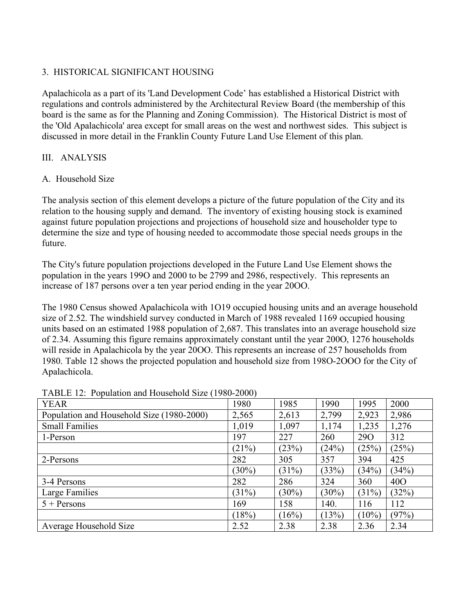## 3. HISTORICAL SIGNIFICANT HOUSING

Apalachicola as a part of its 'Land Development Code' has established a Historical District with regulations and controls administered by the Architectural Review Board (the membership of this board is the same as for the Planning and Zoning Commission). The Historical District is most of the 'Old Apalachicola' area except for small areas on the west and northwest sides. This subject is discussed in more detail in the Franklin County Future Land Use Element of this plan.

### III. ANALYSIS

### A. Household Size

The analysis section of this element develops a picture of the future population of the City and its relation to the housing supply and demand. The inventory of existing housing stock is examined against future population projections and projections of household size and householder type to determine the size and type of housing needed to accommodate those special needs groups in the future.

The City's future population projections developed in the Future Land Use Element shows the population in the years 199O and 2000 to be 2799 and 2986, respectively. This represents an increase of 187 persons over a ten year period ending in the year 20OO.

The 1980 Census showed Apalachicola with 1O19 occupied housing units and an average household size of 2.52. The windshield survey conducted in March of 1988 revealed 1169 occupied housing units based on an estimated 1988 population of 2,687. This translates into an average household size of 2.34. Assuming this figure remains approximately constant until the year 200O, 1276 households will reside in Apalachicola by the year 20OO. This represents an increase of 257 households from 1980. Table 12 shows the projected population and household size from 198O-2OOO for the City of Apalachicola.

| $11$ and $12$ , a optimition that include the size (1700 2000)<br><b>YEAR</b> | 1980     | 1985     | 1990     | 1995       | 2000            |
|-------------------------------------------------------------------------------|----------|----------|----------|------------|-----------------|
| Population and Household Size (1980-2000)                                     | 2,565    | 2,613    | 2,799    | 2,923      | 2,986           |
| <b>Small Families</b>                                                         | 1,019    | 1,097    | 1,174    | 1,235      | 1,276           |
| 1-Person                                                                      | 197      | 227      | 260      | <b>290</b> | 312             |
|                                                                               | (21%)    | (23%)    | (24%)    | (25%)      | (25%)           |
| 2-Persons                                                                     | 282      | 305      | 357      | 394        | 425             |
|                                                                               | $(30\%)$ | (31%)    | (33%)    | (34%)      | (34%)           |
| 3-4 Persons                                                                   | 282      | 286      | 324      | 360        | 40 <sub>O</sub> |
| Large Families                                                                | (31%)    | $(30\%)$ | $(30\%)$ | (31%)      | (32%)           |
| $5 +$ Persons                                                                 | 169      | 158      | 140.     | 116        | 112             |
|                                                                               | (18%)    | (16%)    | (13%)    | $(10\%)$   | (97%)           |
| Average Household Size                                                        | 2.52     | 2.38     | 2.38     | 2.36       | 2.34            |

#### TABLE 12: Population and Household Size (1980-2000)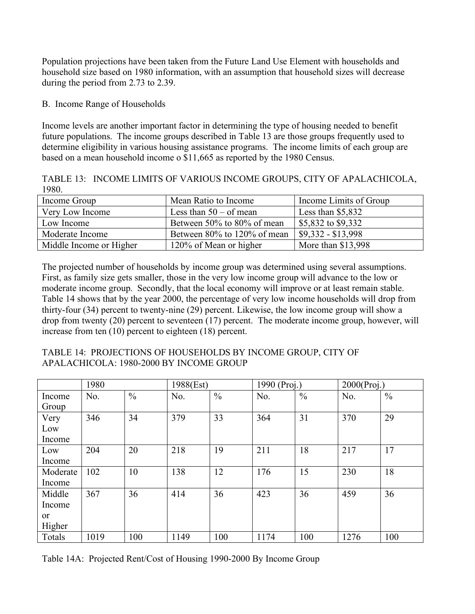Population projections have been taken from the Future Land Use Element with households and household size based on 1980 information, with an assumption that household sizes will decrease during the period from 2.73 to 2.39.

### B. Income Range of Households

Income levels are another important factor in determining the type of housing needed to benefit future populations. The income groups described in Table 13 are those groups frequently used to determine eligibility in various housing assistance programs. The income limits of each group are based on a mean household income o \$11,665 as reported by the 1980 Census.

TABLE 13: INCOME LIMITS OF VARIOUS INCOME GROUPS, CITY OF APALACHICOLA, 1980.

| Income Group            | Mean Ratio to Income        | Income Limits of Group |
|-------------------------|-----------------------------|------------------------|
| Very Low Income         | Less than $50 - of$ mean    | Less than $$5,832$     |
| Low Income              | Between 50% to 80% of mean  | \$5,832 to \$9,332     |
| Moderate Income         | Between 80% to 120% of mean | $$9,332 - $13,998$     |
| Middle Income or Higher | 120% of Mean or higher      | More than \$13,998     |

The projected number of households by income group was determined using several assumptions. First, as family size gets smaller, those in the very low income group will advance to the low or moderate income group. Secondly, that the local economy will improve or at least remain stable. Table 14 shows that by the year 2000, the percentage of very low income households will drop from thirty-four (34) percent to twenty-nine (29) percent. Likewise, the low income group will show a drop from twenty (20) percent to seventeen (17) percent. The moderate income group, however, will increase from ten (10) percent to eighteen (18) percent.

| TABLE 14: PROJECTIONS OF HOUSEHOLDS BY INCOME GROUP, CITY OF |  |
|--------------------------------------------------------------|--|
| APALACHICOLA: 1980-2000 BY INCOME GROUP                      |  |

|               | 1980 |               | 1988(Est) |               | 1990 (Proj.) |               | $2000$ (Proj.) |               |
|---------------|------|---------------|-----------|---------------|--------------|---------------|----------------|---------------|
| Income        | No.  | $\frac{0}{0}$ | No.       | $\frac{0}{0}$ | No.          | $\frac{0}{0}$ | No.            | $\frac{0}{0}$ |
| Group         |      |               |           |               |              |               |                |               |
| Very          | 346  | 34            | 379       | 33            | 364          | 31            | 370            | 29            |
| Low           |      |               |           |               |              |               |                |               |
| Income        |      |               |           |               |              |               |                |               |
| Low           | 204  | 20            | 218       | 19            | 211          | 18            | 217            | 17            |
| Income        |      |               |           |               |              |               |                |               |
| Moderate      | 102  | 10            | 138       | 12            | 176          | 15            | 230            | 18            |
| Income        |      |               |           |               |              |               |                |               |
| Middle        | 367  | 36            | 414       | 36            | 423          | 36            | 459            | 36            |
| Income        |      |               |           |               |              |               |                |               |
| <sub>or</sub> |      |               |           |               |              |               |                |               |
| Higher        |      |               |           |               |              |               |                |               |
| Totals        | 1019 | 100           | 1149      | 100           | 1174         | 100           | 1276           | 100           |

Table 14A: Projected Rent/Cost of Housing 1990-2000 By Income Group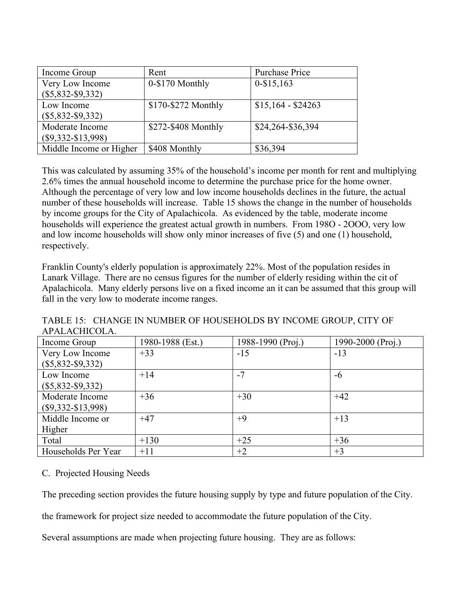| Income Group            | Rent                | Purchase Price     |
|-------------------------|---------------------|--------------------|
| Very Low Income         | 0-\$170 Monthly     | $0 - $15,163$      |
| $(\$5,832-S9,332)$      |                     |                    |
| Low Income              | \$170-\$272 Monthly | $$15,164 - $24263$ |
| $(\$5,832-S9,332)$      |                     |                    |
| Moderate Income         | \$272-\$408 Monthly | \$24,264-\$36,394  |
| $(\$9,332-S13,998)$     |                     |                    |
| Middle Income or Higher | \$408 Monthly       | \$36,394           |

This was calculated by assuming 35% of the household's income per month for rent and multiplying 2.6% times the annual household income to determine the purchase price for the home owner. Although the percentage of very low and low income households declines in the future, the actual number of these households will increase. Table 15 shows the change in the number of households by income groups for the City of Apalachicola. As evidenced by the table, moderate income households will experience the greatest actual growth in numbers. From 198O - 2OOO, very low and low income households will show only minor increases of five (5) and one (1) household, respectively.

Franklin County's elderly population is approximately 22%. Most of the population resides in Lanark Village. There are no census figures for the number of elderly residing within the cit of Apalachicola. Many elderly persons live on a fixed income an it can be assumed that this group will fall in the very low to moderate income ranges.

TABLE 15: CHANGE IN NUMBER OF HOUSEHOLDS BY INCOME GROUP, CITY OF APALACHICOLA.

| Income Group         | 1980-1988 (Est.) | 1988-1990 (Proj.) | 1990-2000 (Proj.) |
|----------------------|------------------|-------------------|-------------------|
| Very Low Income      | $+33$            | $-15$             | $-13$             |
| $(\$5,832-$9,332)$   |                  |                   |                   |
| Low Income           | $+14$            | $-7$              | -6                |
| $(\$5,832-S9,332)$   |                  |                   |                   |
| Moderate Income      | $+36$            | $+30$             | $+42$             |
| $(\$9,332-\$13,998)$ |                  |                   |                   |
| Middle Income or     | $+47$            | $+9$              | $+13$             |
| Higher               |                  |                   |                   |
| Total                | $+130$           | $+25$             | $+36$             |
| Households Per Year  | $+11$            | $+2$              | $+3$              |

### C. Projected Housing Needs

The preceding section provides the future housing supply by type and future population of the City.

the framework for project size needed to accommodate the future population of the City.

Several assumptions are made when projecting future housing. They are as follows: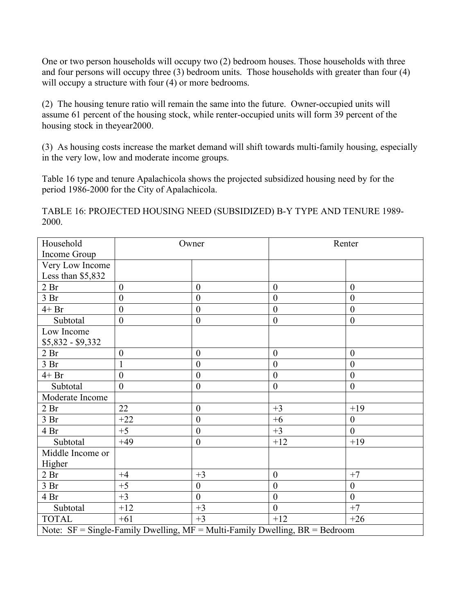One or two person households will occupy two (2) bedroom houses. Those households with three and four persons will occupy three (3) bedroom units. Those households with greater than four (4) will occupy a structure with four  $(4)$  or more bedrooms.

(2) The housing tenure ratio will remain the same into the future. Owner-occupied units will assume 61 percent of the housing stock, while renter-occupied units will form 39 percent of the housing stock in theyear2000.

(3) As housing costs increase the market demand will shift towards multi-family housing, especially in the very low, low and moderate income groups.

Table 16 type and tenure Apalachicola shows the projected subsidized housing need by for the period 1986-2000 for the City of Apalachicola.

TABLE 16: PROJECTED HOUSING NEED (SUBSIDIZED) B-Y TYPE AND TENURE 1989- 2000.

| Household                                                                           |                  | Owner            | Renter           |                  |  |
|-------------------------------------------------------------------------------------|------------------|------------------|------------------|------------------|--|
| Income Group                                                                        |                  |                  |                  |                  |  |
| Very Low Income                                                                     |                  |                  |                  |                  |  |
| Less than \$5,832                                                                   |                  |                  |                  |                  |  |
| 2 <sub>Br</sub>                                                                     | $\mathbf{0}$     | $\boldsymbol{0}$ | $\boldsymbol{0}$ | $\theta$         |  |
| 3 <sub>Br</sub>                                                                     | $\boldsymbol{0}$ | $\boldsymbol{0}$ | $\boldsymbol{0}$ | $\mathbf{0}$     |  |
| $4+Br$                                                                              | $\boldsymbol{0}$ | $\boldsymbol{0}$ | $\boldsymbol{0}$ | $\boldsymbol{0}$ |  |
| Subtotal                                                                            | $\boldsymbol{0}$ | $\boldsymbol{0}$ | $\boldsymbol{0}$ | $\theta$         |  |
| Low Income                                                                          |                  |                  |                  |                  |  |
| $$5,832 - $9,332$                                                                   |                  |                  |                  |                  |  |
| 2 <sub>Br</sub>                                                                     | $\boldsymbol{0}$ | $\boldsymbol{0}$ | $\boldsymbol{0}$ | $\mathbf{0}$     |  |
| 3 <sub>Br</sub>                                                                     | $\mathbf{1}$     | $\boldsymbol{0}$ | $\boldsymbol{0}$ | $\mathbf{0}$     |  |
| $4+Br$                                                                              | $\overline{0}$   | $\theta$         | $\overline{0}$   | $\theta$         |  |
| Subtotal                                                                            | $\mathbf{0}$     | $\boldsymbol{0}$ | $\boldsymbol{0}$ | $\theta$         |  |
| Moderate Income                                                                     |                  |                  |                  |                  |  |
| 2 <sub>Br</sub>                                                                     | 22               | $\boldsymbol{0}$ | $+3$             | $+19$            |  |
| 3 <sub>Br</sub>                                                                     | $+22$            | $\boldsymbol{0}$ | $+6$             | $\boldsymbol{0}$ |  |
| 4 Br                                                                                | $+5$             | $\boldsymbol{0}$ | $+3$             | $\theta$         |  |
| Subtotal                                                                            | $+49$            | $\boldsymbol{0}$ | $+12$            | $+19$            |  |
| Middle Income or                                                                    |                  |                  |                  |                  |  |
| Higher                                                                              |                  |                  |                  |                  |  |
| 2 <sub>Br</sub>                                                                     | $+4$             | $+3$             | $\mathbf{0}$     | $+7$             |  |
| 3 <sub>Br</sub>                                                                     | $+5$             | $\boldsymbol{0}$ | $\boldsymbol{0}$ | $\theta$         |  |
| 4 Br                                                                                | $+3$             | $\mathbf{0}$     | $\boldsymbol{0}$ | $\theta$         |  |
| Subtotal                                                                            | $+12$            | $+3$             | $\mathbf{0}$     | $+7$             |  |
| <b>TOTAL</b>                                                                        | $+61$            | $+3$             | $+12$            | $+26$            |  |
| Note: $SF = Single-Family Dwelling$ , $MF = Multi-Family Dwelling$ , $BR = Bedroom$ |                  |                  |                  |                  |  |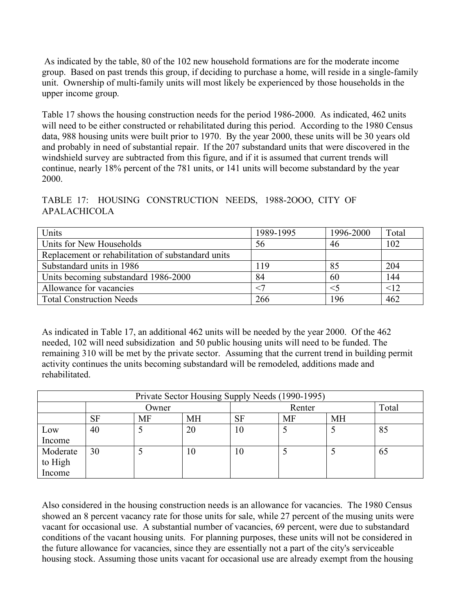As indicated by the table, 80 of the 102 new household formations are for the moderate income group. Based on past trends this group, if deciding to purchase a home, will reside in a single-family unit. Ownership of multi-family units will most likely be experienced by those households in the upper income group.

Table 17 shows the housing construction needs for the period 1986-2000. As indicated, 462 units will need to be either constructed or rehabilitated during this period. According to the 1980 Census data, 988 housing units were built prior to 1970. By the year 2000, these units will be 30 years old and probably in need of substantial repair. If the 207 substandard units that were discovered in the windshield survey are subtracted from this figure, and if it is assumed that current trends will continue, nearly 18% percent of the 781 units, or 141 units will become substandard by the year 2000.

TABLE 17: HOUSING CONSTRUCTION NEEDS, 1988-2OOO, CITY OF APALACHICOLA

| Units                                              | 1989-1995 | 1996-2000 | Total |
|----------------------------------------------------|-----------|-----------|-------|
| Units for New Households                           | 56        | 46        | 102   |
| Replacement or rehabilitation of substandard units |           |           |       |
| Substandard units in 1986                          | 119       | 85        | 204   |
| Units becoming substandard 1986-2000               | 84        | 60        | 144   |
| Allowance for vacancies                            |           |           | <12   |
| <b>Total Construction Needs</b>                    | 266       | 196       | 462   |

As indicated in Table 17, an additional 462 units will be needed by the year 2000. Of the 462 needed, 102 will need subsidization and 50 public housing units will need to be funded. The remaining 310 will be met by the private sector. Assuming that the current trend in building permit activity continues the units becoming substandard will be remodeled, additions made and rehabilitated.

| Private Sector Housing Supply Needs (1990-1995) |           |           |           |           |           |           |       |
|-------------------------------------------------|-----------|-----------|-----------|-----------|-----------|-----------|-------|
|                                                 | Owner     |           |           | Renter    |           |           | Total |
|                                                 | <b>SF</b> | <b>MF</b> | <b>MH</b> | <b>SF</b> | <b>MF</b> | <b>MH</b> |       |
| Low                                             | 40        |           | 20        | 10        |           |           | 85    |
| Income                                          |           |           |           |           |           |           |       |
| Moderate                                        | 30        |           | 10        | 10        |           |           | 65    |
| to High                                         |           |           |           |           |           |           |       |
| Income                                          |           |           |           |           |           |           |       |

Also considered in the housing construction needs is an allowance for vacancies. The 1980 Census showed an 8 percent vacancy rate for those units for sale, while 27 percent of the musing units were vacant for occasional use. A substantial number of vacancies, 69 percent, were due to substandard conditions of the vacant housing units. For planning purposes, these units will not be considered in the future allowance for vacancies, since they are essentially not a part of the city's serviceable housing stock. Assuming those units vacant for occasional use are already exempt from the housing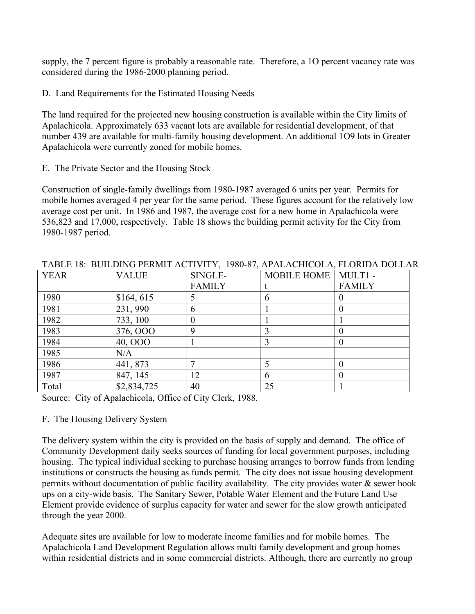supply, the 7 percent figure is probably a reasonable rate. Therefore, a 1O percent vacancy rate was considered during the 1986-2000 planning period.

D. Land Requirements for the Estimated Housing Needs

The land required for the projected new housing construction is available within the City limits of Apalachicola. Approximately 633 vacant lots are available for residential development, of that number 439 are available for multi-family housing development. An additional 1O9 lots in Greater Apalachicola were currently zoned for mobile homes.

E. The Private Sector and the Housing Stock

Construction of single-family dwellings from 1980-1987 averaged 6 units per year. Permits for mobile homes averaged 4 per year for the same period. These figures account for the relatively low average cost per unit. In 1986 and 1987, the average cost for a new home in Apalachicola were 536,823 and 17,000, respectively. Table 18 shows the building permit activity for the City from 1980-1987 period.

| <b>YEAR</b> | <b>VALUE</b> | SINGLE-       | MOBILE HOME   MULT1 - |               |
|-------------|--------------|---------------|-----------------------|---------------|
|             |              |               |                       |               |
|             |              | <b>FAMILY</b> |                       | <b>FAMILY</b> |
| 1980        | \$164, 615   |               | n                     |               |
| 1981        | 231, 990     | n             |                       |               |
| 1982        | 733, 100     |               |                       |               |
| 1983        | 376,000      | Q             |                       |               |
| 1984        | 40, OOO      |               |                       |               |
| 1985        | N/A          |               |                       |               |
| 1986        | 441, 873     |               |                       |               |
| 1987        | 847, 145     | 12            | 6                     |               |
| Total       | \$2,834,725  | 40            | 25                    |               |

TABLE 18: BUILDING PERMIT ACTIVITY, 1980-87, APALACHICOLA, FLORIDA DOLLAR

Source: City of Apalachicola, Office of City Clerk, 1988.

### F. The Housing Delivery System

The delivery system within the city is provided on the basis of supply and demand. The office of Community Development daily seeks sources of funding for local government purposes, including housing. The typical individual seeking to purchase housing arranges to borrow funds from lending institutions or constructs the housing as funds permit. The city does not issue housing development permits without documentation of public facility availability. The city provides water  $\&$  sewer hook ups on a city-wide basis. The Sanitary Sewer, Potable Water Element and the Future Land Use Element provide evidence of surplus capacity for water and sewer for the slow growth anticipated through the year 2000.

Adequate sites are available for low to moderate income families and for mobile homes. The Apalachicola Land Development Regulation allows multi family development and group homes within residential districts and in some commercial districts. Although, there are currently no group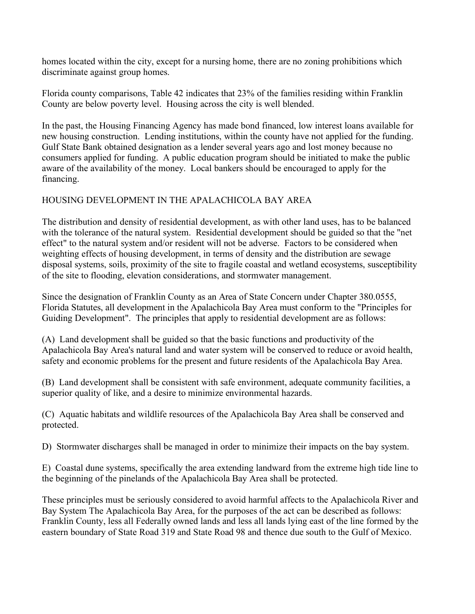homes located within the city, except for a nursing home, there are no zoning prohibitions which discriminate against group homes.

Florida county comparisons, Table 42 indicates that 23% of the families residing within Franklin County are below poverty level. Housing across the city is well blended.

In the past, the Housing Financing Agency has made bond financed, low interest loans available for new housing construction. Lending institutions, within the county have not applied for the funding. Gulf State Bank obtained designation as a lender several years ago and lost money because no consumers applied for funding. A public education program should be initiated to make the public aware of the availability of the money. Local bankers should be encouraged to apply for the financing.

## HOUSING DEVELOPMENT IN THE APALACHICOLA BAY AREA

The distribution and density of residential development, as with other land uses, has to be balanced with the tolerance of the natural system. Residential development should be guided so that the "net effect" to the natural system and/or resident will not be adverse. Factors to be considered when weighting effects of housing development, in terms of density and the distribution are sewage disposal systems, soils, proximity of the site to fragile coastal and wetland ecosystems, susceptibility of the site to flooding, elevation considerations, and stormwater management.

Since the designation of Franklin County as an Area of State Concern under Chapter 380.0555, Florida Statutes, all development in the Apalachicola Bay Area must conform to the "Principles for Guiding Development". The principles that apply to residential development are as follows:

(A) Land development shall be guided so that the basic functions and productivity of the Apalachicola Bay Area's natural land and water system will be conserved to reduce or avoid health, safety and economic problems for the present and future residents of the Apalachicola Bay Area.

(B) Land development shall be consistent with safe environment, adequate community facilities, a superior quality of like, and a desire to minimize environmental hazards.

(C) Aquatic habitats and wildlife resources of the Apalachicola Bay Area shall be conserved and protected.

D) Stormwater discharges shall be managed in order to minimize their impacts on the bay system.

E) Coastal dune systems, specifically the area extending landward from the extreme high tide line to the beginning of the pinelands of the Apalachicola Bay Area shall be protected.

These principles must be seriously considered to avoid harmful affects to the Apalachicola River and Bay System The Apalachicola Bay Area, for the purposes of the act can be described as follows: Franklin County, less all Federally owned lands and less all lands lying east of the line formed by the eastern boundary of State Road 319 and State Road 98 and thence due south to the Gulf of Mexico.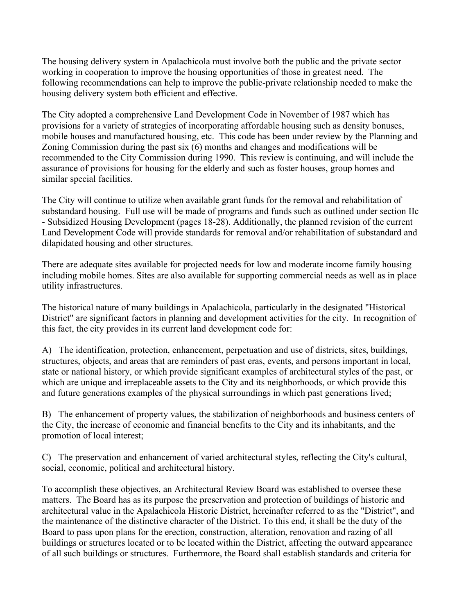The housing delivery system in Apalachicola must involve both the public and the private sector working in cooperation to improve the housing opportunities of those in greatest need. The following recommendations can help to improve the public-private relationship needed to make the housing delivery system both efficient and effective.

The City adopted a comprehensive Land Development Code in November of 1987 which has provisions for a variety of strategies of incorporating affordable housing such as density bonuses, mobile houses and manufactured housing, etc. This code has been under review by the Planning and Zoning Commission during the past six (6) months and changes and modifications will be recommended to the City Commission during 1990. This review is continuing, and will include the assurance of provisions for housing for the elderly and such as foster houses, group homes and similar special facilities.

The City will continue to utilize when available grant funds for the removal and rehabilitation of substandard housing. Full use will be made of programs and funds such as outlined under section IIc - Subsidized Housing Development (pages 18-28). Additionally, the planned revision of the current Land Development Code will provide standards for removal and/or rehabilitation of substandard and dilapidated housing and other structures.

There are adequate sites available for projected needs for low and moderate income family housing including mobile homes. Sites are also available for supporting commercial needs as well as in place utility infrastructures.

The historical nature of many buildings in Apalachicola, particularly in the designated "Historical District" are significant factors in planning and development activities for the city. In recognition of this fact, the city provides in its current land development code for:

A) The identification, protection, enhancement, perpetuation and use of districts, sites, buildings, structures, objects, and areas that are reminders of past eras, events, and persons important in local, state or national history, or which provide significant examples of architectural styles of the past, or which are unique and irreplaceable assets to the City and its neighborhoods, or which provide this and future generations examples of the physical surroundings in which past generations lived;

B) The enhancement of property values, the stabilization of neighborhoods and business centers of the City, the increase of economic and financial benefits to the City and its inhabitants, and the promotion of local interest;

C) The preservation and enhancement of varied architectural styles, reflecting the City's cultural, social, economic, political and architectural history.

To accomplish these objectives, an Architectural Review Board was established to oversee these matters. The Board has as its purpose the preservation and protection of buildings of historic and architectural value in the Apalachicola Historic District, hereinafter referred to as the "District", and the maintenance of the distinctive character of the District. To this end, it shall be the duty of the Board to pass upon plans for the erection, construction, alteration, renovation and razing of all buildings or structures located or to be located within the District, affecting the outward appearance of all such buildings or structures. Furthermore, the Board shall establish standards and criteria for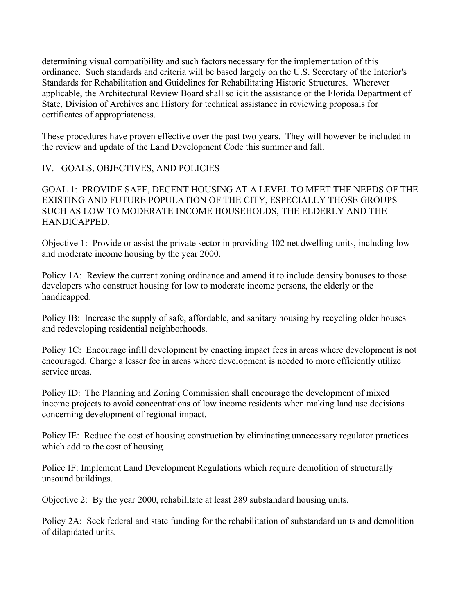determining visual compatibility and such factors necessary for the implementation of this ordinance. Such standards and criteria will be based largely on the U.S. Secretary of the Interior's Standards for Rehabilitation and Guidelines for Rehabilitating Historic Structures. Wherever applicable, the Architectural Review Board shall solicit the assistance of the Florida Department of State, Division of Archives and History for technical assistance in reviewing proposals for certificates of appropriateness.

These procedures have proven effective over the past two years. They will however be included in the review and update of the Land Development Code this summer and fall.

IV. GOALS, OBJECTIVES, AND POLICIES

GOAL 1: PROVIDE SAFE, DECENT HOUSING AT A LEVEL TO MEET THE NEEDS OF THE EXISTING AND FUTURE POPULATION OF THE CITY, ESPECIALLY THOSE GROUPS SUCH AS LOW TO MODERATE INCOME HOUSEHOLDS, THE ELDERLY AND THE HANDICAPPED.

Objective 1: Provide or assist the private sector in providing 102 net dwelling units, including low and moderate income housing by the year 2000.

Policy 1A: Review the current zoning ordinance and amend it to include density bonuses to those developers who construct housing for low to moderate income persons, the elderly or the handicapped.

Policy IB: Increase the supply of safe, affordable, and sanitary housing by recycling older houses and redeveloping residential neighborhoods.

Policy 1C: Encourage infill development by enacting impact fees in areas where development is not encouraged. Charge a lesser fee in areas where development is needed to more efficiently utilize service areas.

Policy ID: The Planning and Zoning Commission shall encourage the development of mixed income projects to avoid concentrations of low income residents when making land use decisions concerning development of regional impact.

Policy IE: Reduce the cost of housing construction by eliminating unnecessary regulator practices which add to the cost of housing.

Police IF: Implement Land Development Regulations which require demolition of structurally unsound buildings.

Objective 2: By the year 2000, rehabilitate at least 289 substandard housing units.

Policy 2A: Seek federal and state funding for the rehabilitation of substandard units and demolition of dilapidated units.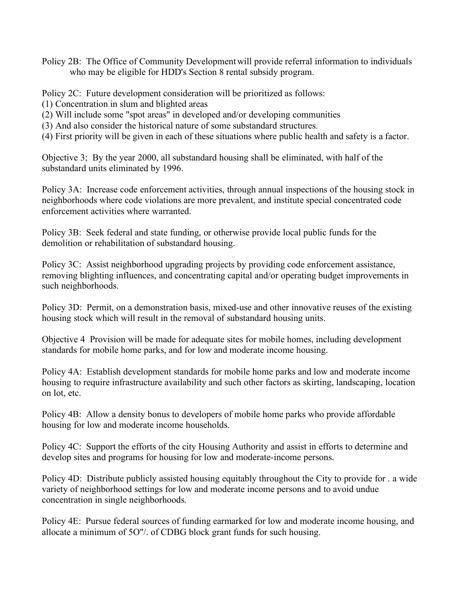Policy 2B: The Office of Community Developmentwill provide referral information to individuals who may be eligible for HDD's Section 8 rental subsidy program.

Policy 2C: Future development consideration will be prioritized as follows:

- (1) Concentration in slum and blighted areas
- (2) Will include some "spot areas" in developed and/or developing communities
- (3) And also consider the historical nature of some substandard structures.
- (4) First priority will be given in each of these situations where public health and safety is a factor.

Objective 3; By the year 2000, all substandard housing shall be eliminated, with half of the substandard units eliminated by 1996.

Policy 3A: Increase code enforcement activities, through annual inspections of the housing stock in neighborhoods where code violations are more prevalent, and institute special concentrated code enforcement activities where warranted.

Policy 3B: Seek federal and state funding, or otherwise provide local public funds for the demolition or rehabilitation of substandard housing.

Policy 3C: Assist neighborhood upgrading projects by providing code enforcement assistance, removing blighting influences, and concentrating capital and/or operating budget improvements in such neighborhoods.

Policy 3D: Permit, on a demonstration basis, mixed-use and other innovative reuses of the existing housing stock which will result in the removal of substandard housing units.

Objective 4 Provision will be made for adequate sites for mobile homes, including development standards for mobile home parks, and for low and moderate income housing.

Policy 4A: Establish development standards for mobile home parks and low and moderate income housing to require infrastructure availability and such other factors as skirting, landscaping, location on lot, etc.

Policy 4B: Allow a density bonus to developers of mobile home parks who provide affordable housing for low and moderate income households.

Policy 4C: Support the efforts of the city Housing Authority and assist in efforts to determine and develop sites and programs for housing for low and moderate-income persons.

Policy 4D: Distribute publicly assisted housing equitably throughout the City to provide for . a wide variety of neighborhood settings for low and moderate income persons and to avoid undue concentration in single neighborhoods.

Policy 4E: Pursue federal sources of funding earmarked for low and moderate income housing, and allocate a minimum of 5O"/. of CDBG block grant funds for such housing.